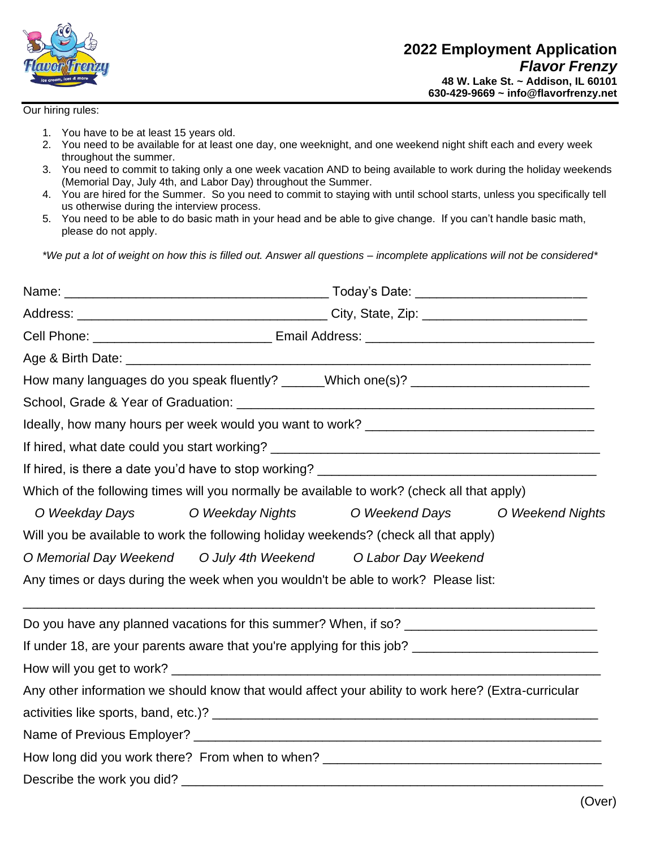

## Our hiring rules:

- 1. You have to be at least 15 years old.
- 2. You need to be available for at least one day, one weeknight, and one weekend night shift each and every week throughout the summer.
- 3. You need to commit to taking only a one week vacation AND to being available to work during the holiday weekends (Memorial Day, July 4th, and Labor Day) throughout the Summer.
- 4. You are hired for the Summer. So you need to commit to staying with until school starts, unless you specifically tell us otherwise during the interview process.
- 5. You need to be able to do basic math in your head and be able to give change. If you can't handle basic math, please do not apply.

*\*We put a lot of weight on how this is filled out. Answer all questions – incomplete applications will not be considered\**

|                            | Which of the following times will you normally be available to work? (check all that apply)         |                |                  |
|----------------------------|-----------------------------------------------------------------------------------------------------|----------------|------------------|
| O Weekday Days             | O Weekday Nights                                                                                    | O Weekend Days | O Weekend Nights |
|                            | Will you be available to work the following holiday weekends? (check all that apply)                |                |                  |
|                            | O Memorial Day Weekend O July 4th Weekend O Labor Day Weekend                                       |                |                  |
|                            | Any times or days during the week when you wouldn't be able to work? Please list:                   |                |                  |
|                            |                                                                                                     |                |                  |
|                            |                                                                                                     |                |                  |
|                            |                                                                                                     |                |                  |
|                            | Any other information we should know that would affect your ability to work here? (Extra-curricular |                |                  |
|                            |                                                                                                     |                |                  |
|                            |                                                                                                     |                |                  |
|                            |                                                                                                     |                |                  |
| Describe the work you did? |                                                                                                     |                |                  |